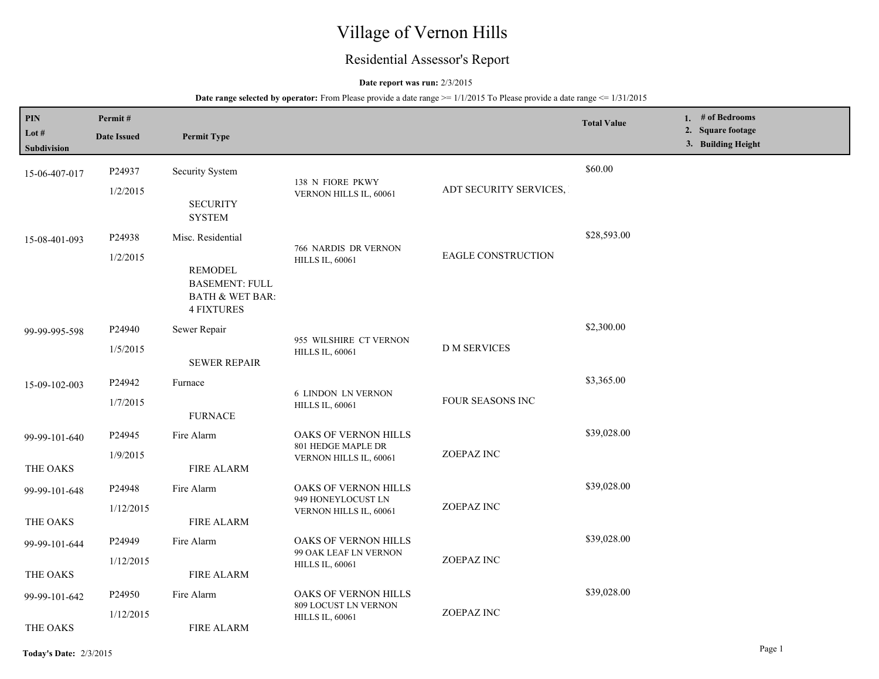# Village of Vernon Hills

## Residential Assessor's Report

#### **Date report was run:** 2/3/2015

**Date range selected by operator:** From Please provide a date range  $\ge$ = 1/1/2015 To Please provide a date range  $\le$  1/31/2015

| PIN<br>Lot #<br><b>Subdivision</b> | Permit#<br><b>Date Issued</b> | <b>Permit Type</b>                                                                         |                                                                      |                           | <b>Total Value</b> | 1. # of Bedrooms<br>2. Square footage<br>3. Building Height |
|------------------------------------|-------------------------------|--------------------------------------------------------------------------------------------|----------------------------------------------------------------------|---------------------------|--------------------|-------------------------------------------------------------|
|                                    |                               |                                                                                            |                                                                      |                           | \$60.00            |                                                             |
| 15-06-407-017                      | P24937                        | Security System                                                                            | 138 N FIORE PKWY                                                     |                           |                    |                                                             |
|                                    | 1/2/2015                      | <b>SECURITY</b><br><b>SYSTEM</b>                                                           | VERNON HILLS IL, 60061                                               | ADT SECURITY SERVICES,    |                    |                                                             |
| 15-08-401-093                      | P24938                        | Misc. Residential                                                                          |                                                                      |                           | \$28,593.00        |                                                             |
|                                    | 1/2/2015                      | <b>REMODEL</b><br><b>BASEMENT: FULL</b><br><b>BATH &amp; WET BAR:</b><br><b>4 FIXTURES</b> | 766 NARDIS DR VERNON<br><b>HILLS IL, 60061</b>                       | <b>EAGLE CONSTRUCTION</b> |                    |                                                             |
| 99-99-995-598                      | P24940                        | Sewer Repair                                                                               |                                                                      |                           | \$2,300.00         |                                                             |
|                                    | 1/5/2015                      | <b>SEWER REPAIR</b>                                                                        | 955 WILSHIRE CT VERNON<br><b>HILLS IL, 60061</b>                     | <b>D M SERVICES</b>       |                    |                                                             |
| 15-09-102-003                      | P24942                        | Furnace                                                                                    |                                                                      |                           | \$3,365.00         |                                                             |
|                                    | 1/7/2015                      | <b>FURNACE</b>                                                                             | <b>6 LINDON LN VERNON</b><br><b>HILLS IL, 60061</b>                  | FOUR SEASONS INC          |                    |                                                             |
| 99-99-101-640                      | P24945                        | Fire Alarm                                                                                 | OAKS OF VERNON HILLS<br>801 HEDGE MAPLE DR<br>VERNON HILLS IL, 60061 | ZOEPAZ INC                | \$39,028.00        |                                                             |
|                                    | 1/9/2015                      |                                                                                            |                                                                      |                           |                    |                                                             |
| THE OAKS                           |                               | <b>FIRE ALARM</b>                                                                          |                                                                      |                           |                    |                                                             |
| 99-99-101-648                      | P24948                        | Fire Alarm                                                                                 | OAKS OF VERNON HILLS<br>949 HONEYLOCUST LN                           |                           | \$39,028.00        |                                                             |
|                                    | 1/12/2015                     |                                                                                            | VERNON HILLS IL, 60061                                               | ZOEPAZ INC                |                    |                                                             |
| THE OAKS                           |                               | <b>FIRE ALARM</b>                                                                          |                                                                      |                           |                    |                                                             |
| 99-99-101-644                      | P24949                        | Fire Alarm                                                                                 | OAKS OF VERNON HILLS<br>99 OAK LEAF LN VERNON                        |                           | \$39,028.00        |                                                             |
| THE OAKS                           | 1/12/2015                     | <b>FIRE ALARM</b>                                                                          | <b>HILLS IL, 60061</b>                                               | ZOEPAZ INC                |                    |                                                             |
|                                    |                               |                                                                                            |                                                                      |                           | \$39,028.00        |                                                             |
| 99-99-101-642                      | P24950                        | Fire Alarm                                                                                 | OAKS OF VERNON HILLS<br>809 LOCUST LN VERNON                         |                           |                    |                                                             |
| THE OAKS                           | 1/12/2015                     | <b>FIRE ALARM</b>                                                                          | <b>HILLS IL, 60061</b>                                               | ZOEPAZ INC                |                    |                                                             |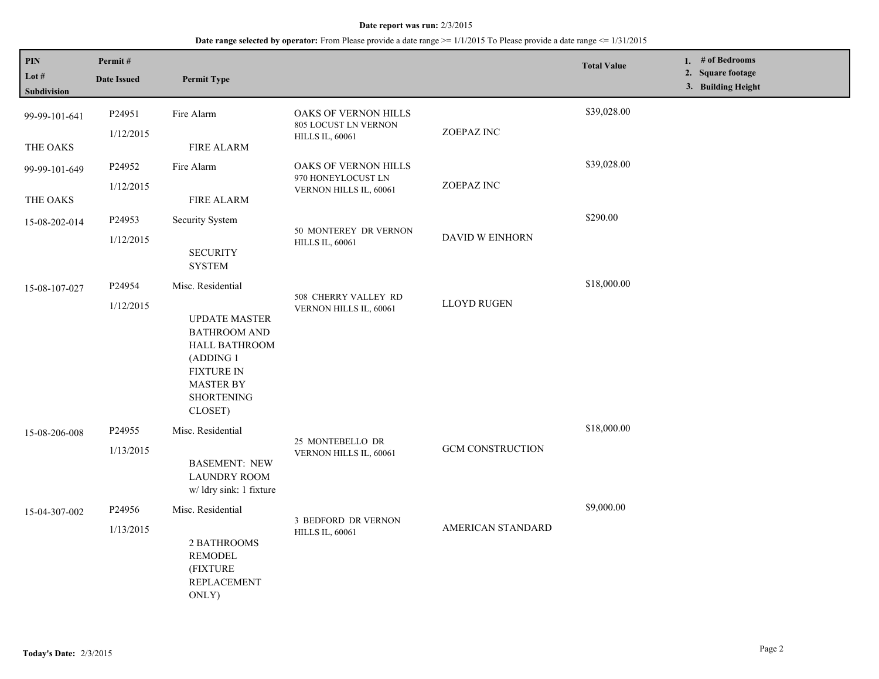## **Date range selected by operator:** From Please provide a date range >= 1/1/2015 To Please provide a date range <= 1/31/2015

| $\mathbf{PIN}$<br>Lot #<br>Subdivision | Permit#<br><b>Date Issued</b> | <b>Permit Type</b>                                                                                                                                                      |                                                                               |                          | <b>Total Value</b> | 1. # of Bedrooms<br>2. Square footage<br>3. Building Height |
|----------------------------------------|-------------------------------|-------------------------------------------------------------------------------------------------------------------------------------------------------------------------|-------------------------------------------------------------------------------|--------------------------|--------------------|-------------------------------------------------------------|
| 99-99-101-641                          | P24951<br>1/12/2015           | Fire Alarm                                                                                                                                                              | OAKS OF VERNON HILLS<br><b>805 LOCUST LN VERNON</b><br><b>HILLS IL, 60061</b> | ZOEPAZ INC               | \$39,028.00        |                                                             |
| THE OAKS                               |                               | <b>FIRE ALARM</b>                                                                                                                                                       |                                                                               |                          |                    |                                                             |
| 99-99-101-649                          | P24952                        | Fire Alarm                                                                                                                                                              | OAKS OF VERNON HILLS                                                          |                          | \$39,028.00        |                                                             |
| THE OAKS                               | 1/12/2015                     | <b>FIRE ALARM</b>                                                                                                                                                       | 970 HONEYLOCUST LN<br>VERNON HILLS IL, 60061                                  | ZOEPAZ INC               |                    |                                                             |
| 15-08-202-014                          | P24953<br>1/12/2015           | Security System<br><b>SECURITY</b><br><b>SYSTEM</b>                                                                                                                     | 50 MONTEREY DR VERNON<br><b>HILLS IL, 60061</b>                               | DAVID W EINHORN          | \$290.00           |                                                             |
| 15-08-107-027                          | P24954<br>1/12/2015           | Misc. Residential<br><b>UPDATE MASTER</b><br><b>BATHROOM AND</b><br>HALL BATHROOM<br>(ADDING 1<br><b>FIXTURE IN</b><br><b>MASTER BY</b><br><b>SHORTENING</b><br>CLOSET) | 508 CHERRY VALLEY RD<br>VERNON HILLS IL, 60061                                | <b>LLOYD RUGEN</b>       | \$18,000.00        |                                                             |
| 15-08-206-008                          | P24955<br>1/13/2015           | Misc. Residential<br><b>BASEMENT: NEW</b><br><b>LAUNDRY ROOM</b><br>w/ ldry sink: 1 fixture                                                                             | 25 MONTEBELLO DR<br>VERNON HILLS IL, 60061                                    | <b>GCM CONSTRUCTION</b>  | \$18,000.00        |                                                             |
| 15-04-307-002                          | P24956<br>1/13/2015           | Misc. Residential<br>2 BATHROOMS<br><b>REMODEL</b><br>(FIXTURE<br><b>REPLACEMENT</b><br>ONLY)                                                                           | 3 BEDFORD DR VERNON<br><b>HILLS IL, 60061</b>                                 | <b>AMERICAN STANDARD</b> | \$9,000.00         |                                                             |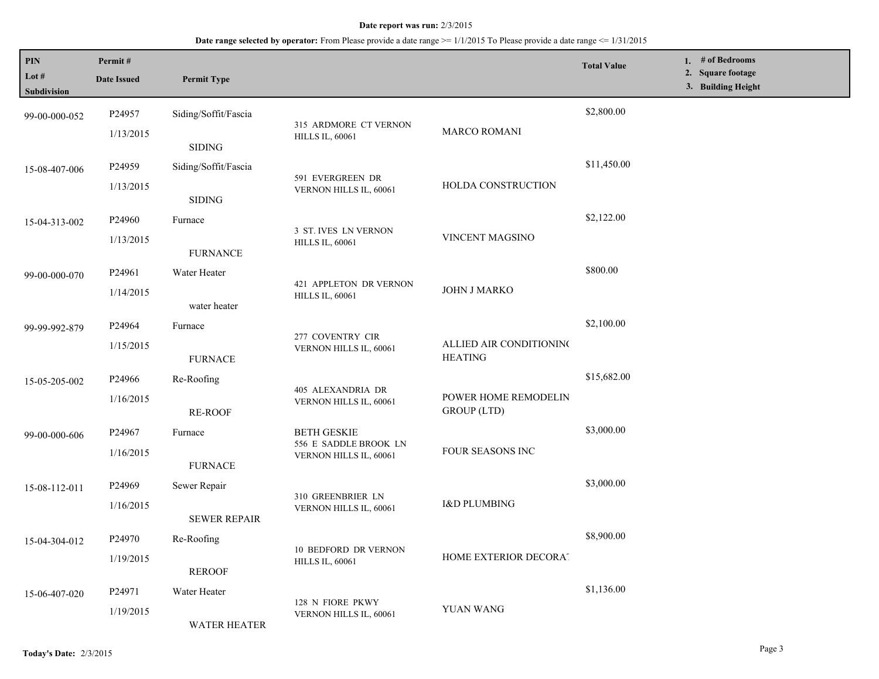## **Date range selected by operator:** From Please provide a date range >= 1/1/2015 To Please provide a date range <= 1/31/2015

| PIN<br>Lot #<br>Subdivision | Permit#<br><b>Date Issued</b> | <b>Permit Type</b>                  |                                                                       |                                            | <b>Total Value</b> | 1. $#$ of Bedrooms<br>2. Square footage<br>3. Building Height |
|-----------------------------|-------------------------------|-------------------------------------|-----------------------------------------------------------------------|--------------------------------------------|--------------------|---------------------------------------------------------------|
| 99-00-000-052               | P24957                        | Siding/Soffit/Fascia                |                                                                       |                                            | \$2,800.00         |                                                               |
|                             | 1/13/2015                     | <b>SIDING</b>                       | 315 ARDMORE CT VERNON<br><b>HILLS IL, 60061</b>                       | <b>MARCO ROMANI</b>                        |                    |                                                               |
| 15-08-407-006               | P24959                        | Siding/Soffit/Fascia                | 591 EVERGREEN DR<br>VERNON HILLS IL, 60061                            | HOLDA CONSTRUCTION                         | \$11,450.00        |                                                               |
|                             | 1/13/2015                     | <b>SIDING</b>                       |                                                                       |                                            |                    |                                                               |
| 15-04-313-002               | P24960                        | Furnace                             |                                                                       | VINCENT MAGSINO                            | \$2,122.00         |                                                               |
|                             | 1/13/2015                     | <b>FURNANCE</b>                     | 3 ST. IVES LN VERNON<br><b>HILLS IL, 60061</b>                        |                                            |                    |                                                               |
| 99-00-000-070               | P24961                        | Water Heater                        | 421 APPLETON DR VERNON<br><b>HILLS IL, 60061</b>                      | JOHN J MARKO                               | \$800.00           |                                                               |
|                             | 1/14/2015                     | water heater                        |                                                                       |                                            |                    |                                                               |
| 99-99-992-879               | P24964                        | Furnace                             | 277 COVENTRY CIR<br>VERNON HILLS IL, 60061                            | ALLIED AIR CONDITIONING<br><b>HEATING</b>  | \$2,100.00         |                                                               |
|                             | 1/15/2015                     | <b>FURNACE</b>                      |                                                                       |                                            |                    |                                                               |
| 15-05-205-002               | P24966                        | Re-Roofing                          | 405 ALEXANDRIA DR<br>VERNON HILLS IL, 60061                           |                                            | \$15,682.00        |                                                               |
|                             | 1/16/2015                     | RE-ROOF                             |                                                                       | POWER HOME REMODELIN<br><b>GROUP</b> (LTD) |                    |                                                               |
| 99-00-000-606               | P24967                        | Furnace                             | <b>BETH GESKIE</b><br>556 E SADDLE BROOK LN<br>VERNON HILLS IL, 60061 | FOUR SEASONS INC                           | \$3,000.00         |                                                               |
|                             | 1/16/2015                     | <b>FURNACE</b>                      |                                                                       |                                            |                    |                                                               |
| 15-08-112-011               | P24969                        | Sewer Repair                        | 310 GREENBRIER LN<br>VERNON HILLS IL, 60061                           | <b>I&amp;D PLUMBING</b>                    | \$3,000.00         |                                                               |
|                             | 1/16/2015                     | <b>SEWER REPAIR</b>                 |                                                                       |                                            |                    |                                                               |
| 15-04-304-012               | P24970                        | Re-Roofing                          | 10 BEDFORD DR VERNON<br><b>HILLS IL, 60061</b>                        | HOME EXTERIOR DECORAT                      | \$8,900.00         |                                                               |
|                             | 1/19/2015                     | <b>REROOF</b>                       |                                                                       |                                            |                    |                                                               |
| 15-06-407-020               | P24971                        | Water Heater                        | 128 N FIORE PKWY                                                      |                                            | \$1,136.00         |                                                               |
|                             | 1/19/2015<br>WATER HEATER     | YUAN WANG<br>VERNON HILLS IL, 60061 |                                                                       |                                            |                    |                                                               |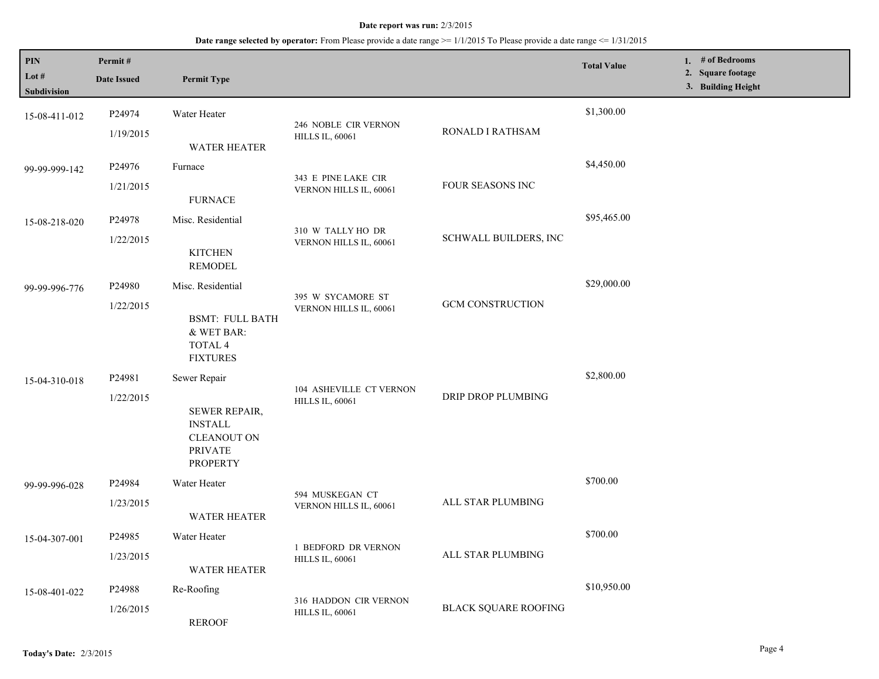### **Date range selected by operator:** From Please provide a date range  $\ge$ = 1/1/2015 To Please provide a date range  $\le$  1/31/2015

| PIN<br>Lot $#$<br><b>Subdivision</b> | Permit#<br><b>Date Issued</b> | <b>Permit Type</b>                                                                                         |                                                   |                             | <b>Total Value</b> | # of Bedrooms<br>1.<br><b>Square footage</b><br>2.<br>3. Building Height |
|--------------------------------------|-------------------------------|------------------------------------------------------------------------------------------------------------|---------------------------------------------------|-----------------------------|--------------------|--------------------------------------------------------------------------|
| 15-08-411-012                        | P24974<br>1/19/2015           | Water Heater<br><b>WATER HEATER</b>                                                                        | 246 NOBLE CIR VERNON<br><b>HILLS IL, 60061</b>    | RONALD I RATHSAM            | \$1,300.00         |                                                                          |
| 99-99-999-142                        | P24976<br>1/21/2015           | Furnace<br><b>FURNACE</b>                                                                                  | 343 E PINE LAKE CIR<br>VERNON HILLS IL, 60061     | FOUR SEASONS INC            | \$4,450.00         |                                                                          |
| 15-08-218-020                        | P24978<br>1/22/2015           | Misc. Residential<br><b>KITCHEN</b><br><b>REMODEL</b>                                                      | 310 W TALLY HO DR<br>VERNON HILLS IL, 60061       | SCHWALL BUILDERS, INC       | \$95,465.00        |                                                                          |
| 99-99-996-776                        | P24980<br>1/22/2015           | Misc. Residential<br><b>BSMT: FULL BATH</b><br>& WET BAR:<br>TOTAL 4<br><b>FIXTURES</b>                    | 395 W SYCAMORE ST<br>VERNON HILLS IL, 60061       | <b>GCM CONSTRUCTION</b>     | \$29,000.00        |                                                                          |
| 15-04-310-018                        | P24981<br>1/22/2015           | Sewer Repair<br>SEWER REPAIR,<br><b>INSTALL</b><br><b>CLEANOUT ON</b><br><b>PRIVATE</b><br><b>PROPERTY</b> | 104 ASHEVILLE CT VERNON<br><b>HILLS IL, 60061</b> | DRIP DROP PLUMBING          | \$2,800.00         |                                                                          |
| 99-99-996-028                        | P24984<br>1/23/2015           | Water Heater<br><b>WATER HEATER</b>                                                                        | 594 MUSKEGAN CT<br>VERNON HILLS IL, 60061         | ALL STAR PLUMBING           | \$700.00           |                                                                          |
| 15-04-307-001                        | P24985<br>1/23/2015           | Water Heater<br>WATER HEATER                                                                               | 1 BEDFORD DR VERNON<br><b>HILLS IL, 60061</b>     | ALL STAR PLUMBING           | \$700.00           |                                                                          |
| 15-08-401-022                        | P24988<br>1/26/2015           | Re-Roofing<br><b>REROOF</b>                                                                                | 316 HADDON CIR VERNON<br><b>HILLS IL, 60061</b>   | <b>BLACK SQUARE ROOFING</b> | \$10,950.00        |                                                                          |